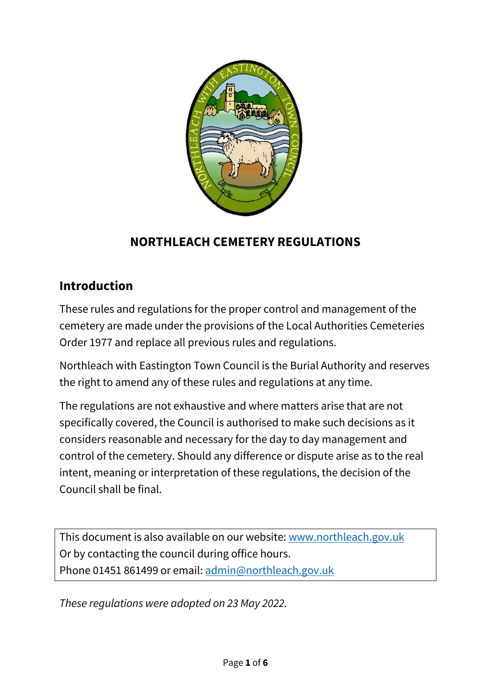

# **NORTHLEACH CEMETERY REGULATIONS**

# **Introduction**

These rules and regulations for the proper control and management of the cemetery are made under the provisions of the Local Authorities Cemeteries Order 1977 and replace all previous rules and regulations.

Northleach with Eastington Town Council is the Burial Authority and reserves the right to amend any of these rules and regulations at any time.

The regulations are not exhaustive and where matters arise that are not specifically covered, the Council is authorised to make such decisions as it considers reasonable and necessary for the day to day management and control of the cemetery. Should any difference or dispute arise as to the real intent, meaning or interpretation of these regulations, the decision of the Council shall be final.

This document is also available on our website: [www.northleach.gov.uk](http://www.northleach.gov.uk/) Or by contacting the council during office hours. Phone 01451 861499 or email: [admin@northleach.gov.uk](mailto:admin@northleach.gov.uk)

*These regulations were adopted on 23 May 2022.*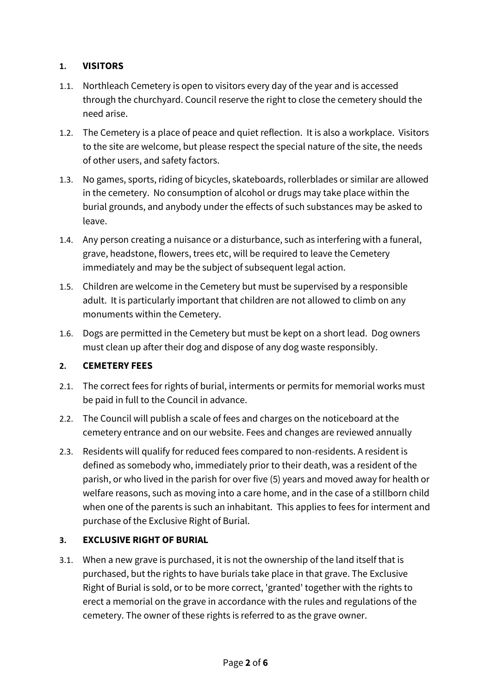## **1. VISITORS**

- 1.1. Northleach Cemetery is open to visitors every day of the year and is accessed through the churchyard. Council reserve the right to close the cemetery should the need arise.
- 1.2. The Cemetery is a place of peace and quiet reflection. It is also a workplace. Visitors to the site are welcome, but please respect the special nature of the site, the needs of other users, and safety factors.
- 1.3. No games, sports, riding of bicycles, skateboards, rollerblades or similar are allowed in the cemetery. No consumption of alcohol or drugs may take place within the burial grounds, and anybody under the effects of such substances may be asked to leave.
- 1.4. Any person creating a nuisance or a disturbance, such as interfering with a funeral, grave, headstone, flowers, trees etc, will be required to leave the Cemetery immediately and may be the subject of subsequent legal action.
- 1.5. Children are welcome in the Cemetery but must be supervised by a responsible adult. It is particularly important that children are not allowed to climb on any monuments within the Cemetery.
- 1.6. Dogs are permitted in the Cemetery but must be kept on a short lead. Dog owners must clean up after their dog and dispose of any dog waste responsibly.

### **2. CEMETERY FEES**

- 2.1. The correct fees for rights of burial, interments or permits for memorial works must be paid in full to the Council in advance.
- 2.2. The Council will publish a scale of fees and charges on the noticeboard at the cemetery entrance and on our website. Fees and changes are reviewed annually
- 2.3. Residents will qualify for reduced fees compared to non-residents. A resident is defined as somebody who, immediately prior to their death, was a resident of the parish, or who lived in the parish for over five (5) years and moved away for health or welfare reasons, such as moving into a care home, and in the case of a stillborn child when one of the parents is such an inhabitant. This applies to fees for interment and purchase of the Exclusive Right of Burial.

### **3. EXCLUSIVE RIGHT OF BURIAL**

3.1. When a new grave is purchased, it is not the ownership of the land itself that is purchased, but the rights to have burials take place in that grave. The Exclusive Right of Burial is sold, or to be more correct, 'granted' together with the rights to erect a memorial on the grave in accordance with the rules and regulations of the cemetery. The owner of these rights is referred to as the grave owner.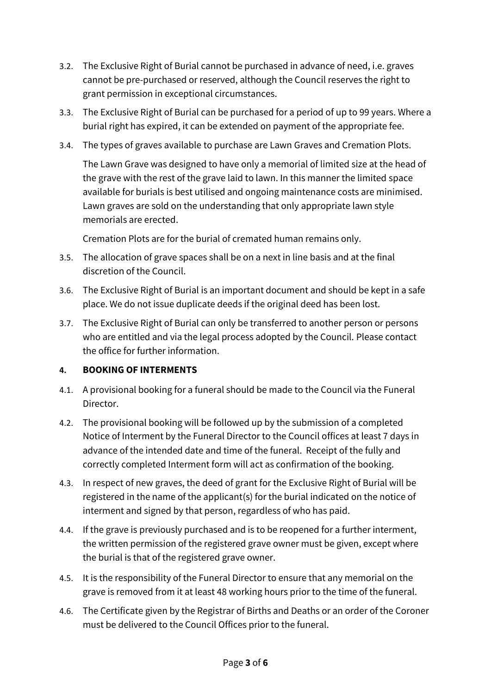- 3.2. The Exclusive Right of Burial cannot be purchased in advance of need, i.e. graves cannot be pre-purchased or reserved, although the Council reserves the right to grant permission in exceptional circumstances.
- 3.3. The Exclusive Right of Burial can be purchased for a period of up to 99 years. Where a burial right has expired, it can be extended on payment of the appropriate fee.
- 3.4. The types of graves available to purchase are Lawn Graves and Cremation Plots.

The Lawn Grave was designed to have only a memorial of limited size at the head of the grave with the rest of the grave laid to lawn. In this manner the limited space available for burials is best utilised and ongoing maintenance costs are minimised. Lawn graves are sold on the understanding that only appropriate lawn style memorials are erected.

Cremation Plots are for the burial of cremated human remains only.

- 3.5. The allocation of grave spaces shall be on a next in line basis and at the final discretion of the Council.
- 3.6. The Exclusive Right of Burial is an important document and should be kept in a safe place. We do not issue duplicate deeds if the original deed has been lost.
- 3.7. The Exclusive Right of Burial can only be transferred to another person or persons who are entitled and via the legal process adopted by the Council. Please contact the office for further information.

## **4. BOOKING OF INTERMENTS**

- 4.1. A provisional booking for a funeral should be made to the Council via the Funeral Director.
- 4.2. The provisional booking will be followed up by the submission of a completed Notice of Interment by the Funeral Director to the Council offices at least 7 days in advance of the intended date and time of the funeral. Receipt of the fully and correctly completed Interment form will act as confirmation of the booking.
- 4.3. In respect of new graves, the deed of grant for the Exclusive Right of Burial will be registered in the name of the applicant(s) for the burial indicated on the notice of interment and signed by that person, regardless of who has paid.
- 4.4. If the grave is previously purchased and is to be reopened for a further interment, the written permission of the registered grave owner must be given, except where the burial is that of the registered grave owner.
- 4.5. It is the responsibility of the Funeral Director to ensure that any memorial on the grave is removed from it at least 48 working hours prior to the time of the funeral.
- 4.6. The Certificate given by the Registrar of Births and Deaths or an order of the Coroner must be delivered to the Council Offices prior to the funeral.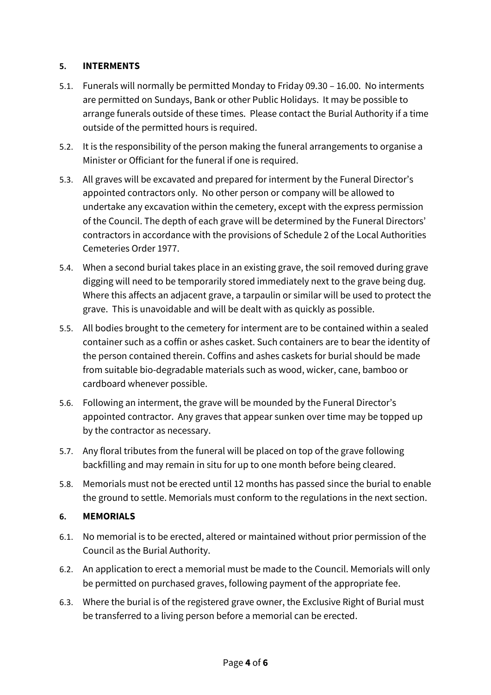#### **5. INTERMENTS**

- 5.1. Funerals will normally be permitted Monday to Friday 09.30 16.00. No interments are permitted on Sundays, Bank or other Public Holidays. It may be possible to arrange funerals outside of these times. Please contact the Burial Authority if a time outside of the permitted hours is required.
- 5.2. It is the responsibility of the person making the funeral arrangements to organise a Minister or Officiant for the funeral if one is required.
- 5.3. All graves will be excavated and prepared for interment by the Funeral Director's appointed contractors only. No other person or company will be allowed to undertake any excavation within the cemetery, except with the express permission of the Council. The depth of each grave will be determined by the Funeral Directors' contractors in accordance with the provisions of Schedule 2 of the Local Authorities Cemeteries Order 1977.
- 5.4. When a second burial takes place in an existing grave, the soil removed during grave digging will need to be temporarily stored immediately next to the grave being dug. Where this affects an adjacent grave, a tarpaulin or similar will be used to protect the grave. This is unavoidable and will be dealt with as quickly as possible.
- 5.5. All bodies brought to the cemetery for interment are to be contained within a sealed container such as a coffin or ashes casket. Such containers are to bear the identity of the person contained therein. Coffins and ashes caskets for burial should be made from suitable bio-degradable materials such as wood, wicker, cane, bamboo or cardboard whenever possible.
- 5.6. Following an interment, the grave will be mounded by the Funeral Director's appointed contractor. Any graves that appear sunken over time may be topped up by the contractor as necessary.
- 5.7. Any floral tributes from the funeral will be placed on top of the grave following backfilling and may remain in situ for up to one month before being cleared.
- 5.8. Memorials must not be erected until 12 months has passed since the burial to enable the ground to settle. Memorials must conform to the regulations in the next section.

### **6. MEMORIALS**

- 6.1. No memorial is to be erected, altered or maintained without prior permission of the Council as the Burial Authority.
- 6.2. An application to erect a memorial must be made to the Council. Memorials will only be permitted on purchased graves, following payment of the appropriate fee.
- 6.3. Where the burial is of the registered grave owner, the Exclusive Right of Burial must be transferred to a living person before a memorial can be erected.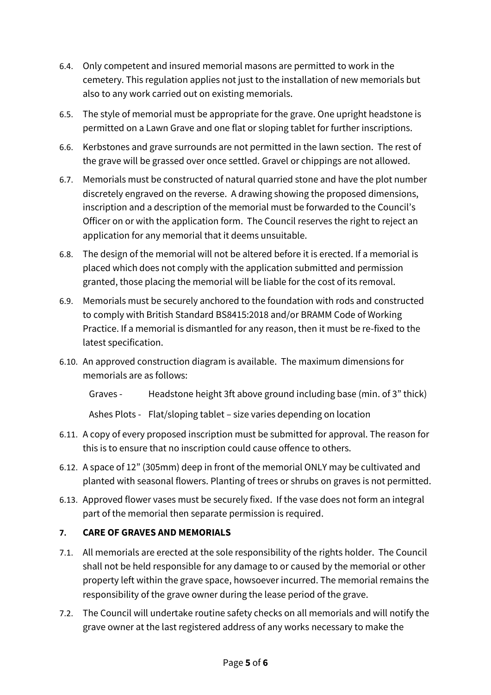- 6.4. Only competent and insured memorial masons are permitted to work in the cemetery. This regulation applies not just to the installation of new memorials but also to any work carried out on existing memorials.
- 6.5. The style of memorial must be appropriate for the grave. One upright headstone is permitted on a Lawn Grave and one flat or sloping tablet for further inscriptions.
- 6.6. Kerbstones and grave surrounds are not permitted in the lawn section. The rest of the grave will be grassed over once settled. Gravel or chippings are not allowed.
- 6.7. Memorials must be constructed of natural quarried stone and have the plot number discretely engraved on the reverse. A drawing showing the proposed dimensions, inscription and a description of the memorial must be forwarded to the Council's Officer on or with the application form. The Council reserves the right to reject an application for any memorial that it deems unsuitable.
- 6.8. The design of the memorial will not be altered before it is erected. If a memorial is placed which does not comply with the application submitted and permission granted, those placing the memorial will be liable for the cost of its removal.
- 6.9. Memorials must be securely anchored to the foundation with rods and constructed to comply with British Standard BS8415:2018 and/or BRAMM Code of Working Practice. If a memorial is dismantled for any reason, then it must be re-fixed to the latest specification.
- 6.10. An approved construction diagram is available. The maximum dimensions for memorials are as follows:

Graves - Headstone height 3ft above ground including base (min. of 3" thick)

Ashes Plots - Flat/sloping tablet – size varies depending on location

- 6.11. A copy of every proposed inscription must be submitted for approval. The reason for this is to ensure that no inscription could cause offence to others.
- 6.12. A space of 12" (305mm) deep in front of the memorial ONLY may be cultivated and planted with seasonal flowers. Planting of trees or shrubs on graves is not permitted.
- 6.13. Approved flower vases must be securely fixed. If the vase does not form an integral part of the memorial then separate permission is required.

## **7. CARE OF GRAVES AND MEMORIALS**

- 7.1. All memorials are erected at the sole responsibility of the rights holder. The Council shall not be held responsible for any damage to or caused by the memorial or other property left within the grave space, howsoever incurred. The memorial remains the responsibility of the grave owner during the lease period of the grave.
- 7.2. The Council will undertake routine safety checks on all memorials and will notify the grave owner at the last registered address of any works necessary to make the